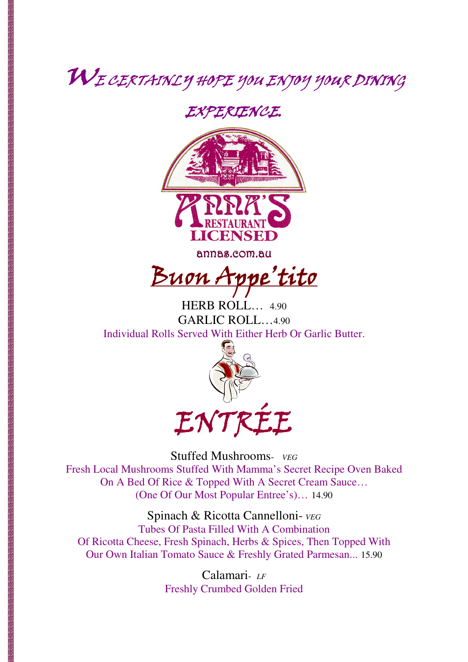## WE CERTAINLY HOPE YOU ENJOY YOUR DINING

### EXPERIENCE.



annas.com.au

<u>Buon Appe'tito</u>

HERB ROLL… 4.90 GARLIC ROLL…4.90 Individual Rolls Served With Either Herb Or Garlic Butter.



Stuffed Mushrooms- *VEG* Fresh Local Mushrooms Stuffed With Mamma's Secret Recipe Oven Baked On A Bed Of Rice & Topped With A Secret Cream Sauce… (One Of Our Most Popular Entree's)… 14.90

Spinach & Ricotta Cannelloni- *VEG* Tubes Of Pasta Filled With A Combination Of Ricotta Cheese, Fresh Spinach, Herbs & Spices, Then Topped With Our Own Italian Tomato Sauce & Freshly Grated Parmesan... 15.90

> Calamari- *LF* Freshly Crumbed Golden Fried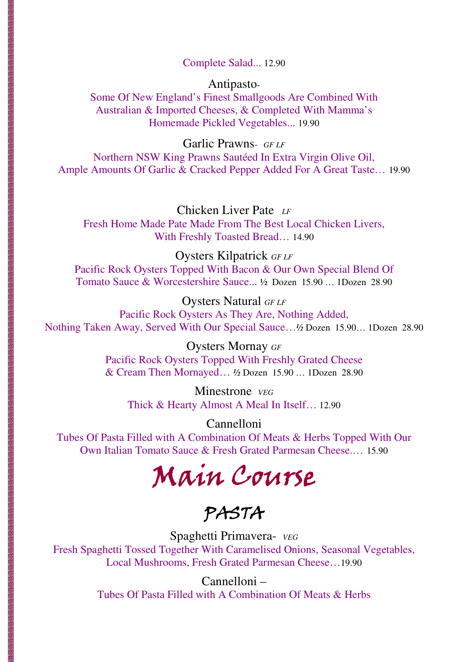#### Complete Salad... 12.90

#### Antipasto-

Some Of New England's Finest Smallgoods Are Combined With Australian & Imported Cheeses, & Completed With Mamma's Homemade Pickled Vegetables... 19.90

Garlic Prawns- *GF LF*

Northern NSW King Prawns Sautéed In Extra Virgin Olive Oil, Ample Amounts Of Garlic & Cracked Pepper Added For A Great Taste… 19.90

Chicken Liver Pate *LF* Fresh Home Made Pate Made From The Best Local Chicken Livers, With Freshly Toasted Bread… 14.90

Oysters Kilpatrick *GF LF*

Pacific Rock Oysters Topped With Bacon & Our Own Special Blend Of Tomato Sauce & Worcestershire Sauce... ½ Dozen 15.90 … 1Dozen 28.90

Oysters Natural *GF LF* Pacific Rock Oysters As They Are, Nothing Added, Nothing Taken Away, Served With Our Special Sauce…*½* Dozen 15.90… 1Dozen 28.90

> Oysters Mornay *GF* Pacific Rock Oysters Topped With Freshly Grated Cheese & Cream Then Mornayed… *½* Dozen 15.90 … 1Dozen 28.90

Minestrone *VEG* Thick & Hearty Almost A Meal In Itself… 12.90

Cannelloni Tubes Of Pasta Filled with A Combination Of Meats & Herbs Topped With Our Own Italian Tomato Sauce & Fresh Grated Parmesan Cheese.… 15.90

Main Course

PASTA

Spaghetti Primavera- *VEG* Fresh Spaghetti Tossed Together With Caramelised Onions, Seasonal Vegetables, Local Mushrooms, Fresh Grated Parmesan Cheese…19.90

> Cannelloni – Tubes Of Pasta Filled with A Combination Of Meats & Herbs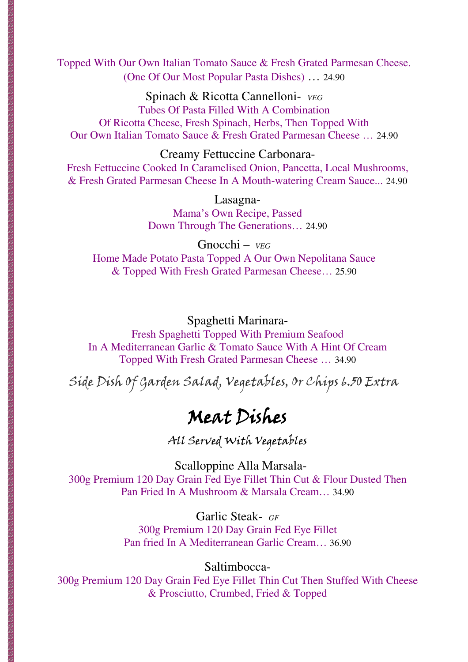Topped With Our Own Italian Tomato Sauce & Fresh Grated Parmesan Cheese. (One Of Our Most Popular Pasta Dishes) … 24.90

Spinach & Ricotta Cannelloni- *VEG* Tubes Of Pasta Filled With A Combination Of Ricotta Cheese, Fresh Spinach, Herbs, Then Topped With Our Own Italian Tomato Sauce & Fresh Grated Parmesan Cheese … 24.90

#### Creamy Fettuccine Carbonara-

Fresh Fettuccine Cooked In Caramelised Onion, Pancetta, Local Mushrooms, & Fresh Grated Parmesan Cheese In A Mouth-watering Cream Sauce... 24.90

> Lasagna-Mama's Own Recipe, Passed Down Through The Generations… 24.90

Gnocchi – *VEG* Home Made Potato Pasta Topped A Our Own Nepolitana Sauce & Topped With Fresh Grated Parmesan Cheese… 25.90

#### Spaghetti Marinara-

Fresh Spaghetti Topped With Premium Seafood In A Mediterranean Garlic & Tomato Sauce With A Hint Of Cream Topped With Fresh Grated Parmesan Cheese … 34.90

Side Dish Of Garden Salad, Vegetables, Or Chips 6.50 Extra

## Meat Dishes

All Served With Vegetables

 Scalloppine Alla Marsala-300g Premium 120 Day Grain Fed Eye Fillet Thin Cut & Flour Dusted Then Pan Fried In A Mushroom & Marsala Cream… 34.90

> Garlic Steak- *GF*  300g Premium 120 Day Grain Fed Eye Fillet Pan fried In A Mediterranean Garlic Cream… 36.90

> > Saltimbocca-

300g Premium 120 Day Grain Fed Eye Fillet Thin Cut Then Stuffed With Cheese & Prosciutto, Crumbed, Fried & Topped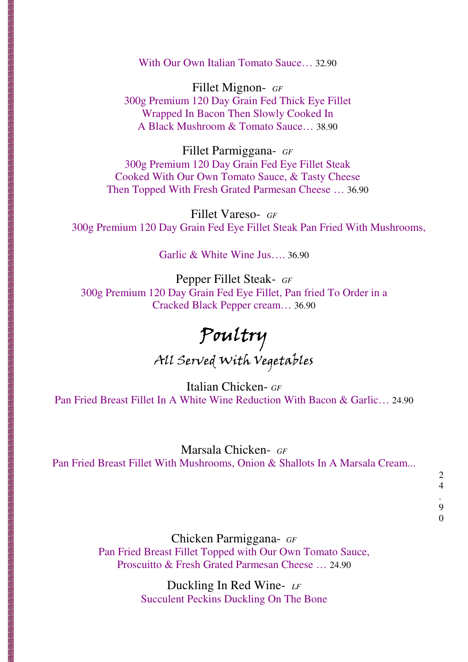With Our Own Italian Tomato Sauce… 32.90

Fillet Mignon- *GF*  300g Premium 120 Day Grain Fed Thick Eye Fillet Wrapped In Bacon Then Slowly Cooked In A Black Mushroom & Tomato Sauce… 38.90

Fillet Parmiggana- *GF*  300g Premium 120 Day Grain Fed Eye Fillet Steak Cooked With Our Own Tomato Sauce, & Tasty Cheese Then Topped With Fresh Grated Parmesan Cheese … 36.90

Fillet Vareso- *GF*  300g Premium 120 Day Grain Fed Eye Fillet Steak Pan Fried With Mushrooms,

Garlic & White Wine Jus…. 36.90

Pepper Fillet Steak- *GF*  300g Premium 120 Day Grain Fed Eye Fillet, Pan fried To Order in a Cracked Black Pepper cream… 36.90

Poultry All Served With Vegetables

Italian Chicken- *GF*  Pan Fried Breast Fillet In A White Wine Reduction With Bacon & Garlic… 24.90

#### Marsala Chicken- *GF*

Pan Fried Breast Fillet With Mushrooms, Onion & Shallots In A Marsala Cream...

0

Chicken Parmiggana- *GF* Pan Fried Breast Fillet Topped with Our Own Tomato Sauce, Proscuitto & Fresh Grated Parmesan Cheese … 24.90

> Duckling In Red Wine- *LF* Succulent Peckins Duckling On The Bone